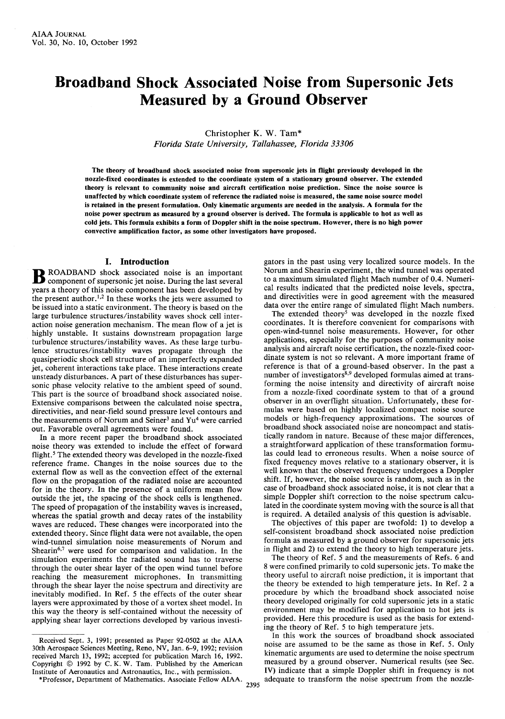# **Broadband Shock Associated Noise from Supersonic Jets Measured by a Ground Observer**

Christopher K. W. Tam\*

*Florida State University, Tallahassee, Florida 33306*

**The theory of broadband shock associated noise from supersonic jets in flight previously developed in the nozzle-fixed coordinates is extended to the coordinate system of a stationary ground observer. The extended theory is relevant to community noise and aircraft certification noise prediction. Since the noise source is unaffected by which coordinate system of reference the radiated noise is measured, the same noise source model is retained in the present formulation. Only kinematic arguments are needed in the analysis. A formula for the noise power spectrum as measured by a ground observer is derived. The formula is applicable to hot as well as cold jets. This formula exhibits a form of Doppler shift in the noise spectrum. However, there is no high power convective amplification factor, as some other investigators have proposed.**

## **I. Introduction**

B ROADBAND shock associated noise is an important component of supersonic jet noise. During the last several ROADBAND shock associated noise is an important years a theory of this noise component has been developed by the present author.<sup>1,2</sup> In these works the jets were assumed to be issued into a static environment. The theory is based on the large turbulence structures/instability waves shock cell interaction noise generation mechanism. The mean flow of a jet is highly unstable. It sustains downstream propagation large turbulence structures/instability waves. As these large turbulence structures/instability waves propagate through the quasiperiodic shock cell structure of an imperfectly expanded jet, coherent interactions take place. These interactions create unsteady disturbances. A part of these disturbances has supersonic phase velocity relative to the ambient speed of sound. This part is the source of broadband shock associated noise. Extensive comparisons between the calculated noise spectra, directivities, and near-field sound pressure level contours and the measurements of Norum and Seiner<sup>3</sup> and Yu<sup>4</sup> were carried out. Favorable overall agreements were found.

In a more recent paper the broadband shock associated noise theory was extended to include the effect of forward flight.<sup>5</sup> The extended theory was developed in the nozzle-fixed reference frame. Changes in the noise sources due to the external flow as well as the convection effect of the external flow on the propagation of the radiated noise are accounted for in the theory. In the presence of a uniform mean flow outside the jet, the spacing of the shock cells is lengthened. The speed of propagation of the instability waves is increased, whereas the spatial growth and decay rates of the instability waves are reduced. These changes were incorporated into the extended theory. Since flight data were not available, the open wind-tunnel simulation noise measurements of Norum and Shearin<sup>6,7</sup> were used for comparison and validation. In the simulation experiments the radiated sound has to traverse through the outer shear layer of the open wind tunnel before reaching the measurement microphones. In transmitting through the shear layer the noise spectrum and directivity are inevitably modified. In Ref. 5 the effects of the outer shear layers were approximated by those of a vortex sheet model. In this way the theory is self-contained without the necessity of applying shear layer corrections developed by various investi-

Received Sept. 3, 1991; presented as Paper 92-0502 at the AIAA 30th Aerospace Sciences Meeting, Reno, NV, Jan. 6-9, 1992; revision received March 13, 1992; accepted for publication March 16, 1992. Copyright  $\odot$  1992 by C.K.W. Tam. Published by the American Institute of Aeronautics and Astronautics, Inc., with permission.

gators in the past using very localized source models. In the Norum and Shearin experiment, the wind tunnel was operated to a maximum simulated flight Mach number of 0.4. Numerical results indicated that the predicted noise levels, spectra, and directivities were in good agreement with the measured data over the entire range of simulated flight Mach numbers.

The extended theory<sup>5</sup> was developed in the nozzle fixed coordinates. It is therefore convenient for comparisons with open-wind-tunnel noise measurements. However, for other applications, especially for the purposes of community noise analysis and aircraft noise certification, the nozzle-fixed coordinate system is not so relevant. A more important frame of reference is that of a ground-based observer. In the past a number of investigators<sup>8,9</sup> developed formulas aimed at transforming the noise intensity and directivity of aircraft noise from a nozzle-fixed coordinate system to that of a ground observer in an overflight situation. Unfortunately, these formulas were based on highly localized compact noise source models or high-frequency approximations. The sources of broadband shock associated noise are noncompact and statistically random in nature. Because of these major differences, a straightforward application of these transformation formulas could lead to erroneous results. When a noise source of fixed frequency moves relative to a stationary observer, it is well known that the observed frequency undergoes a Doppler shift. If, however, the noise source is random, such as in the case of broadband shock associated noise, it is not clear that a simple Doppler shift correction to the noise spectrum calculated in the coordinate system moving with the source is all that is required. A detailed analysis of this question is advisable.

The objectives of this paper are twofold: 1) to develop a self-consistent broadband shock associated noise prediction formula as measured by a ground observer for supersonic jets in flight and 2) to extend the theory to high temperature jets.

The theory of Ref. 5 and the measurements of Refs. 6 and 8 were confined primarily to cold supersonic jets. To make the theory useful to aircraft noise prediction, it is important that the theory be extended to high temperature jets. In Ref. 2 a procedure by which the broadband shock associated noise theory developed originally for cold supersonic jets in a static environment may be modified for application to hot jets is provided. Here this procedure is used as the basis for extending the theory of Ref. 5 to high temperature jets.

In this work the sources of broadband shock associated noise are assumed to be the same as those in Ref. 5. Only kinematic arguments are used to determine the noise spectrum measured by a ground observer. Numerical results (see Sec. IV) indicate that a simple Doppler shift in frequency is not adequate to transform the noise spectrum from the nozzle-

\* Professor, Department of Mathematics. Associate Fellow AIAA. 2395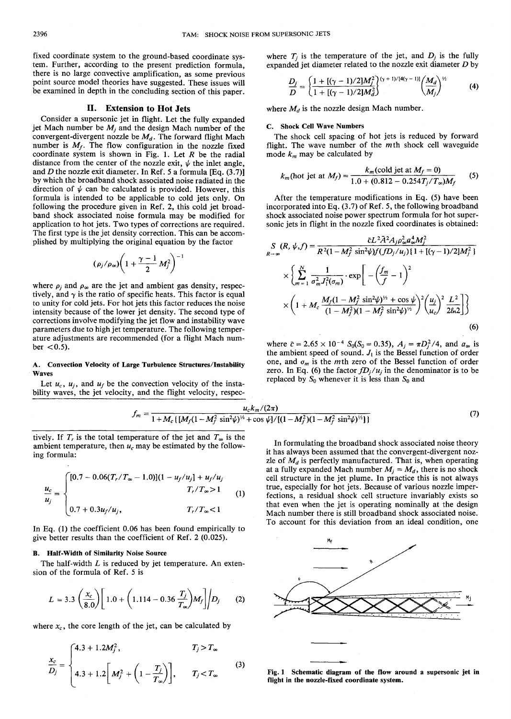fixed coordinate system to the ground-based coordinate system. Further, according to the present prediction formula, there is no large convective amplification, as some previous point source model theories have suggested. These issues will be examined in depth in the concluding section of this paper.

# **II. Extension to Hot Jets**

Consider a supersonic jet in flight. Let the fully expanded jet Mach number be  $M_j$  and the design Mach number of the convergent-divergent nozzle be *Md.* The forward flight Mach number is *M<sup>f</sup> .* The flow configuration in the nozzle fixed coordinate system is shown in Fig. 1. Let *R* be the radial distance from the center of the nozzle exit,  $\psi$  the inlet angle, and *D* the nozzle exit diameter. In Ref. 5 a formula [Eq. (3.7)] by which the broadband shock associated noise radiated in the direction of  $\psi$  can be calculated is provided. However, this formula is intended to be applicable to cold jets only. On following the procedure given in Ref. 2, this cold jet broadband shock associated noise formula may be modified for application to hot jets. Two types of corrections are required. The first type is the jet density correction. This can be accomplished by multiplying the original equation by the factor

$$
(\rho_j/\rho_\infty)\bigg(1+\frac{\gamma-1}{2}M_j^2\bigg)^{-1}
$$

where  $\rho_i$  and  $\rho_\infty$  are the jet and ambient gas density, respectively, and  $\gamma$  is the ratio of specific heats. This factor is equal to unity for cold jets. For hot jets this factor reduces the noise intensity because of the lower jet density. The second type of corrections involve modifying the jet flow and instability wave parameters due to high jet temperature. The following temperature adjustments are recommended (for a flight Mach num $ber < 0.5$ ).

### **A. Convection Velocity of Large Turbulence Structures/Instability Waves**

Let  $u_c$ ,  $u_j$ , and  $u_f$  be the convection velocity of the instability waves, the jet velocity, and the flight velocity, respecwhere  $T_i$  is the temperature of the jet, and  $D_i$  is the fully expanded jet diameter related to the nozzle exit diameter *D* by

$$
\frac{D_j}{D} = \left\{ \frac{1 + [(\gamma - 1)/2]M_j^2}{1 + [(\gamma - 1)/2]M_d^2} \right\}^{(\gamma + 1)/[4(\gamma - 1)]} \left( \frac{M_d}{M_j} \right)^{\gamma_2} \tag{4}
$$

where  $M_d$  is the nozzle design Mach number.

#### **C. Shock Cell Wave Numbers**

The shock cell spacing of hot jets is reduced by forward flight. The wave number of the  $m$ th shock cell waveguide mode *km* may be calculated by

$$
k_m(\text{hot jet at } M_f) = \frac{k_m(\text{cold jet at } M_f = 0)}{1.0 + (0.812 - 0.254T_f/T_\infty)M_f}
$$
 (5)

After the temperature modifications in Eq. (5) have been incorporated into Eq. (3.7) of Ref. 5, the following broadband shock associated noise power spectrum formula for hot supersonic jets in flight in the nozzle fixed coordinates is obtained:

$$
S_{R\rightarrow\infty}(R, \psi, f) = \frac{\bar{c}L^2 A^2 A_j \rho_{\infty}^2 a_{\infty}^4 M_f^2}{R^2 (1 - M_f^2 \sin^2 \psi) f(f D_j / u_j) \{1 + [(\gamma - 1)/2] M_f^2\}}
$$

$$
\times \left\{ \sum_{m=1}^N \frac{1}{\sigma_m^2 J_1^2(\sigma_m)} \cdot \exp\left[-\left(\frac{f_m}{f} - 1\right)^2\right] \times \left(1 + M_c \frac{M_f (1 - M_f^2 \sin^2 \psi)^{\frac{1}{2}} + \cos \psi}{(1 - M_f^2)(1 - M_f^2 \sin^2 \psi)^{\frac{1}{2}}}\right) \left(\frac{u_j}{u_c}\right)^2 \frac{L^2}{2\ln 2} \right\}
$$
(6)

where  $\bar{c} = 2.65 \times 10^{-4}$   $S_0(S_0 = 0.35)$ ,  $A_j = \pi D_j^2/4$ , and  $a_{\infty}$  is the ambient speed of sound.  $J_1$  is the Bessel function of order one, and  $\sigma_m$  is the *m*th zero of the Bessel function of order zero. In Eq. (6) the factor  $fD_i/u_i$  in the denominator is to be replaced by  $S_0$  whenever it is less than  $S_0$  and

$$
f_m = \frac{u_c k_m/(2\pi)}{1 + M_c \left\{ \left[ M_f (1 - M_f^2 \sin^2 \psi)^{1/2} + \cos \psi \right] / \left[ (1 - M_f^2)(1 - M_f^2 \sin^2 \psi)^{1/2} \right] \right\}}\tag{7}
$$

tively. If  $T_r$  is the total temperature of the jet and  $T_\infty$  is the ambient temperature, then  $u_c$  may be estimated by the following formula:

$$
\frac{u_c}{u_j} = \begin{cases} [0.7 - 0.06(T_r/T_\infty - 1.0)](1 - u_f/u_j] + u_f/u_j \\ T_r/T_\infty > 1 \\ 0.7 + 0.3u_f/u_j, \end{cases}
$$
(1)

In Eq. (1) the coefficient 0.06 has been found empirically to give better results than the coefficient of Ref. 2 (0.025).

#### **B. Half-Width of Similarity Noise Source**

The half-width *L* is reduced by jet temperature. An extension of the formula of Ref. 5 is

$$
L = 3.3 \left(\frac{x_c}{8.0}\right) \left[1.0 + \left(1.114 - 0.36 \frac{T_j}{T_\infty}\right) M_f\right] / D_j \tag{2}
$$

where  $x_c$ , the core length of the jet, can be calculated by

$$
\frac{x_c}{D_j} = \begin{cases} 4.3 + 1.2M_j^2, & T_j > T_{\infty} \\ 4.3 + 1.2 \left[ M_j^2 + \left( 1 - \frac{T_j}{T_{\infty}} \right) \right], & T_j < T_{\infty} \end{cases}
$$
 (3)

In formulating the broadband shock associated noise theory it has always been assumed that the convergent-divergent nozzle of *Md* is perfectly manufactured. That is, when operating at a fully expanded Mach number  $M_i = M_d$ , there is no shock cell structure in the jet plume. In practice this is not always true, especially for hot jets. Because of various nozzle imperfections, a residual shock cell structure invariably exists so that even when the jet is operating nominally at the design Mach number there is still broadband shock associated noise. To account for this deviation from an ideal condition, one



**Fig. 1 Schematic diagram of the flow around a supersonic jet in flight in the nozzle-fixed coordinate system.**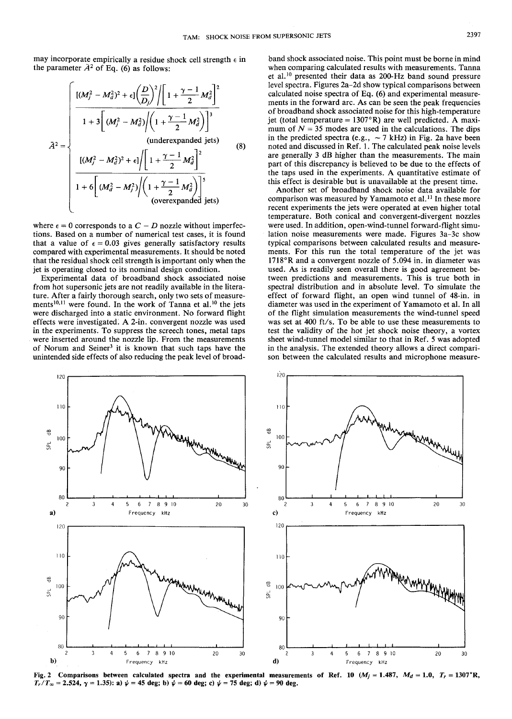may incorporate empirically a residue shock cell strength  $\epsilon$  in the parameter  $\bar{A}^2$  of Eq. (6) as follows:

$$
\tilde{A}^{2} = \begin{cases}\n\frac{\left[ (M_{j}^{2} - M_{d}^{2})^{2} + \epsilon \right] \left( \frac{D}{D_{j}} \right)^{2} \left[ 1 + \frac{\gamma - 1}{2} M_{d}^{2} \right]^{2}}{1 + 3 \left[ (M_{j}^{2} - M_{d}^{2}) \left( 1 + \frac{\gamma - 1}{2} M_{d}^{2} \right) \right]^{3}} \\
\frac{\left[ (M_{j}^{2} - M_{d}^{2})^{2} + \epsilon \right] \left[ 1 + \frac{\gamma - 1}{2} M_{d}^{2} \right]^{2}}{\left( 1 + \frac{\gamma - 1}{2} M_{d}^{2} \right)^{2}} \\
\frac{1 + 6 \left[ (M_{d}^{2} - M_{j}^{2}) \left( 1 + \frac{\gamma - 1}{2} M_{d}^{2} \right) \right]^{5}}{\left( \text{overexpanded jets} \right)}\n\end{cases}
$$
\n(8)

where  $\epsilon = 0$  corresponds to a  $C - D$  nozzle without imperfections. Based on a number of numerical test cases, it is found that a value of  $\epsilon = 0.03$  gives generally satisfactory results compared with experimental measurements. It should be noted that the residual shock cell strength is important only when the jet is operating closed to its nominal design condition.

Experimental data of broadband shock associated noise from hot supersonic jets are not readily available in the literature. After a fairly thorough search, only two sets of measurements<sup>10,11</sup> were found. In the work of Tanna et al.<sup>10</sup> the jets were discharged into a static environment. No forward flight effects were investigated*'.* A 2-in. convergent nozzle was used in the experiments. To suppress the screech tones, metal taps were inserted around the nozzle lip. From the measurements of Norum and Seiner<sup>3</sup> it is known that such taps have the unintended side effects of also reducing the peak level of broad-

band shock associated noise. This point must be borne in mind when comparing calculated results with measurements. Tanna et al.<sup>10</sup> presented their data as 200-Hz band sound pressure level spectra. Figures 2a-2d show typical comparisons between calculated noise spectra of Eq. (6) and experimental measurements in the forward arc. As can be seen the peak frequencies of broadband shock associated noise for this high-temperature jet (total temperature =  $1307^{\circ}R$ ) are well predicted. A maximum of  $N = 35$  modes are used in the calculations. The dips in the predicted spectra (e.g.,  $\sim$  7 kHz) in Fig. 2a have been noted and discussed in Ref. 1. The calculated peak noise levels are generally 3 dB higher than the measurements. The main part of this discrepancy is believed to be due to the effects of the taps used in the experiments. A quantitative estimate of this effect is desirable but is unavailable at the present time.

Another set of broadband shock noise data available for comparison was measured by Yamamoto et al.<sup>11</sup> In these more recent experiments the jets were operated at even higher total temperature. Both conical and convergent-divergent nozzles were used. In addition, open-wind-tunnel forward-flight simulation noise measurements were made. Figures 3a-3c show typical comparisons between calculated results and measurements. For this run the total temperature of the jet was 1718°R and a convergent nozzle of 5.094 in. in diameter was used. As is readily seen overall there is good agreement between predictions and measurements. This is true both in spectral distribution and in absolute level. To simulate the effect of forward flight, an open wind tunnel of 48-in. in diameter was used in the experiment of Yamamoto et al. In all of the flight simulation measurements the wind-tunnel speed was set at 400 ft/s. To be able to use these measurements to test the validity of the hot jet shock noise theory, a vortex sheet wind-tunnel model similar to that in Ref. 5 was adopted in the analysis. The extended theory allows a direct comparison between the calculated results and microphone measure-



Fig. 2 Comparisons between calculated spectra and the experimental measurements of Ref. 10  $(M_j = 1.487, M_d = 1.0, T_r = 1307$ °R,  $T_r/T_\infty = 2.524$ ,  $\gamma = 1.35$ : a)  $\psi = 45$  deg; b)  $\psi = 60$  deg; c)  $\psi = 75$  deg; d)  $\psi = 90$  deg.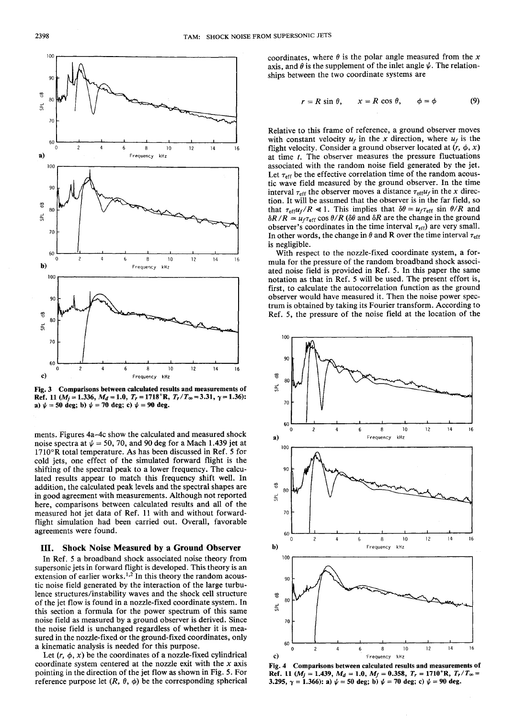

**Fig. 3 Comparisons between calculated results and measurements of Ref.** 11 ( $M_j = 1.336$ ,  $M_d = 1.0$ ,  $T_r = 1718$ °R,  $T_r/T_\infty = 3.31$ ,  $\gamma = 1.36$ ): **a**)  $\psi = 50$  deg; b)  $\psi = 70$  deg; c)  $\psi = 90$  deg.

ments. Figures 4a-4c show the calculated and measured shock noise spectra at  $\psi$  = 50, 70, and 90 deg for a Mach 1.439 jet at 1710°R total temperature. As has been discussed in Ref. 5 for cold jets, one effect of the simulated forward flight is the shifting of the spectral peak to a lower frequency. The calculated results appear to match this frequency shift well. In addition, the calculated peak levels and the spectral shapes are in good agreement with measurements. Although not reported here, comparisons between calculated results and all of the measured hot jet data of Ref. 11 with and without forwardflight simulation had been carried out. Overall, favorable agreements were found.

## **III. Shock Noise Measured by a Ground Observer**

In Ref. 5 a broadband shock associated noise theory from supersonic jets in forward flight is developed. This theory is an extension of earlier works.<sup>1,2</sup> In this theory the random acoustic noise field generated by the interaction of the large turbulence structures/instability waves and the shock cell structure of the jet flow is found in a nozzle-fixed coordinate system. In this section a formula for the power spectrum of this same noise field as measured by a ground observer is derived. Since the noise field is unchanged regardless of whether it is measured in the nozzle-fixed or the ground-fixed coordinates, only a kinematic analysis is needed for this purpose.

Let  $(r, \phi, x)$  be the coordinates of a nozzle-fixed cylindrical coordinate system centered at the nozzle exit with the *x* axis pointing in the direction of the jet flow as shown in Fig. 5. For reference purpose let  $(R, \theta, \phi)$  be the corresponding spherical coordinates, where  $\theta$  is the polar angle measured from the x axis, and  $\theta$  is the supplement of the inlet angle  $\psi$ . The relationships between the two coordinate systems are

$$
r = R \sin \theta, \qquad x = R \cos \theta, \qquad \phi = \phi \tag{9}
$$

Relative to this frame of reference, a ground observer moves with constant velocity  $u_f$  in the x direction, where  $u_f$  is the flight velocity. Consider a ground observer located at  $(r, \phi, x)$ at time *t.* The observer measures the pressure fluctuations associated with the random noise field generated by the jet. Let  $\tau_{\text{eff}}$  be the effective correlation time of the random acoustic wave field measured by the ground observer. In the time interval  $\tau_{\text{eff}}$  the observer moves a distance  $\tau_{\text{eff}}u_f$  in the *x* direction. It will be assumed that the observer is in the far field, so that  $\tau_{eff}u_f/R \ll 1$ . This implies that  $\delta\theta \simeq u_f \tau_{eff}$  sin  $\theta/R$  and  $\delta R/R \simeq u_f \tau_{eff} \cos \theta / R$  ( $\delta \theta$  and  $\delta R$  are the change in the ground observer's coordinates in the time interval  $\tau_{\text{eff}}$ ) are very small. In other words, the change in  $\theta$  and R over the time interval  $\tau_{\text{eff}}$ is negligible.

With respect to the nozzle-fixed coordinate system, a formula for the pressure of the random broadband shock associated noise field is provided in Ref. 5. In this paper the same notation as that in Ref. 5 will be used. The present effort is, first, to calculate the autocorrelation function as the ground observer would have measured it. Then the noise power spectrum is obtained by taking its Fourier transform. According to Ref. 5, the pressure of the noise field at the location of the



**Fig. 4 Comparisons between calculated results and measurements of Ref.** 11 ( $M_i = 1.439$ ,  $M_d = 1.0$ ,  $M_f = 0.358$ ,  $T_r = 1710$ °R,  $T_r/T_\infty =$ **3.295,**  $\gamma = 1.366$ : **a**)  $\psi = 50$  deg; b)  $\psi = 70$  deg; c)  $\psi = 90$  deg.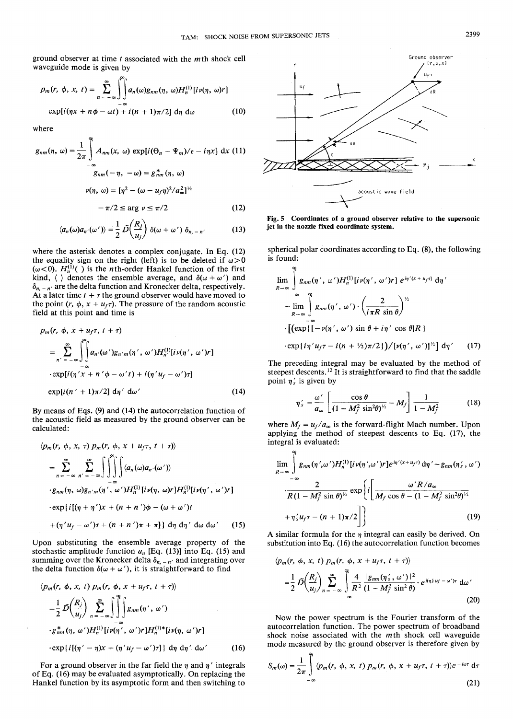ground observer at time *t* associated with the *m*th shock cell waveguide mode is given by

$$
p_m(r, \phi, x, t) = \sum_{n = -\infty}^{\infty} \int_{-\infty}^{\infty} a_n(\omega) g_{nm}(\eta, \omega) H_n^{(1)}[i\nu(\eta, \omega)r]
$$
  
\n
$$
\exp[i(\eta x + n\phi - \omega t) + i(n + 1)\pi/2] d\eta d\omega
$$
 (10)

where

$$
g_{nm}(\eta, \omega) = \frac{1}{2\pi} \int_{-\infty}^{\infty} A_{nm}(x, \omega) \exp[i(\Theta_n - \Psi_m)/\epsilon - i\eta x] dx
$$
 (11)  

$$
g_{nm}(-\eta, -\omega) = g_{nm}^*(\eta, \omega)
$$

$$
\nu(\eta, \omega) = [\eta^2 - (\omega - u_f \eta)^2 / a_{\omega}^2]^{1/2}
$$

$$
-\pi/2 \le \arg \nu \le \pi/2
$$
 (12)

$$
\langle a_n(\omega)a_{n'}(\omega')\rangle = \frac{1}{2}\,\tilde{D}\left(\frac{R_j}{u_j}\right)\,\delta(\omega + \omega')\,\delta_{n,-n'}\tag{13}
$$

where the asterisk denotes a complex conjugate. In Eq. (12) the equality sign on the right (left) is to be deleted if  $\omega > 0$  $(\omega < 0)$ .  $H_n^{(1)}( )$  is the *n*th-order Hankel function of the first kind,  $\langle \ \rangle$  denotes the ensemble average, and  $\delta(\omega + \omega')$  and  $\delta_{n,-n'}$  are the delta function and Kronecker delta, respectively. At a later time  $t + \tau$  the ground observer would have moved to the point  $(r, \phi, x + u_f \tau)$ . The pressure of the random acoustic field at this point and time is

$$
p_m(r, \phi, x + u_f \tau, t + \tau)
$$
  
\n
$$
= \sum_{n' = -\infty}^{\infty} \int_{-\infty}^{\infty} \int_{-\infty}^{\infty} a_{n'}(\omega') g_{n'm}(\eta', \omega') H_n^{(1)}[iv(\eta', \omega')r]
$$
  
\n
$$
\exp[i(\eta'x + n'\phi - \omega' t) + i(\eta' u_f - \omega')\tau]
$$
  
\n
$$
\exp[i(n' + 1)\pi/2] d\eta' d\omega'
$$
 (14)

By means of Eqs. (9) and (14) the autocorrelation function of the acoustic field as measured by the ground observer can be calculated:

$$
\langle p_m(r, \phi, x, \tau) p_m(r, \phi, x + u_f \tau, t + \tau) \rangle
$$
\n
$$
= \sum_{n=-\infty}^{\infty} \sum_{n'=-\infty}^{\infty} \int \int \int \int \langle a_n(\omega) a_{n'}(\omega') \rangle
$$
\n
$$
\cdot g_{nm}(\eta, \omega) g_{n'm}(\eta', \omega') H_n^{(1)}[i\nu(\eta, \omega) r] H_n^{(1)}[i\nu(\eta', \omega')r]
$$
\n
$$
\cdot \exp\{i[(\eta + \eta')x + (n + n')\phi - (\omega + \omega')t + (\eta' u_f - \omega')\tau + (n + n')\pi + \pi]\} d\eta d\eta' d\omega d\omega'
$$
\n(15)

Upon substituting the ensemble average property of the stochastic amplitude function  $a_n$  [Eq. (13)] into Eq. (15) and summing over the Kronecker delta  $\delta_{n,-n'}$  and integrating over the delta function  $\delta(\omega + \omega')$ , it is straightforward to find

$$
\langle p_m(r, \phi, x, t) p_m(r, \phi, x + u_f \tau, t + \tau) \rangle
$$
  
\n
$$
= \frac{1}{2} \tilde{D} \left( \frac{R_j}{u_j} \right) \sum_{n = -\infty}^{\infty} \int_{-\infty}^{\infty} \int_{-\infty}^{\infty} g_{nm}(\eta', \omega')
$$
  
\n
$$
\cdot g_{nm}^*(\eta, \omega') H_n^{(1)} [i\nu(\eta', \omega')r] H_n^{(1)*}[i\nu(\eta, \omega')r]
$$
  
\n
$$
\cdot \exp\{i[(\eta' - \eta)x + (\eta' u_f - \omega')\tau]\} d\eta d\eta' d\omega'
$$
 (16)

For a ground observer in the far field the  $\eta$  and  $\eta'$  integrals of Eq. (16) may be evaluated asymptotically. On replacing the Hankel function by its asymptotic form and then switching to



**Fig. 5 Coordinates of a ground observer relative to the supersonic jet in the nozzle fixed coordinate system.**

spherical polar coordinates according to Eq. (8), the following is found:

found:  
\n
$$
\lim_{R\to\infty} \int_{-\infty}^{\infty} g_{nm}(\eta', \omega') H_n^{(1)}[i\nu(\eta', \omega')r] e^{i\eta' (x+u_f\tau)} d\eta'
$$
\n
$$
\sim \lim_{R\to\infty} \int_{-\infty}^{\infty} g_{nm}(\eta', \omega') \cdot \left(\frac{2}{i\pi R \sin \theta}\right)^{1/2}
$$
\n
$$
\cdot \left[ \left(\exp\left[\left(-\nu(\eta', \omega') \sin \theta + i\eta' \cos \theta\right]R\right) \right. \right.
$$
\n
$$
\cdot \exp\left\{i\eta' u_f\tau - i(n + \frac{1}{2}\pi/2)\right) / \left[\nu(\eta', \omega')\right]^{1/2}\right\} d\eta' \qquad (17)
$$

The preceding integral may be evaluated by the method of steepest descents.<sup>12</sup> It is straightforward to find that the saddle point  $\eta'_{s}$  is given by

$$
\eta'_{s} = \frac{\omega'}{a_{\infty}} \left[ \frac{\cos \theta}{(1 - M_f^2 \sin^2 \theta)^{1/2}} - M_f \right] \frac{1}{1 - M_f^2}
$$
(18)

where  $M_f = u_f/a_\infty$  is the forward-flight Mach number. Upon applying the method of steepest descents to Eq. (17), the integral is evaluated:

$$
\lim_{R\to\infty}\int_{-\infty}^{\infty}g_{nm}(\eta',\omega')H_n^{(1)}[i\nu(\eta',\omega')r]e^{i\eta'(\chi+u_f\tau)}d\eta' \sim g_{nm}(\eta'_s,\omega')
$$

$$
\cdot \frac{2}{R(1-M_f^2\sin\theta)^{\frac{1}{2}}} \exp\left\{i\left[\frac{\omega'R/a_{\infty}}{M_f\cos\theta-(1-M_f^2\sin^2\theta)^{\frac{1}{2}}} + \eta'_s u_f\tau - (n+1)\pi/2\right]\right\}
$$
(19)

A similar formula for the  $\eta$  integral can easily be derived. On substitution into Eq. (16) the autocorrelation function becomes

$$
\langle p_m(r, \phi, x, t) p_m(r, \phi, x + u_f \tau, t + \tau) \rangle
$$
  
=  $\frac{1}{2} \tilde{D} \left( \frac{R_j}{u_j} \right) \sum_{n = -\infty}^{\infty} \int_{-\infty}^{\infty} \frac{4}{R^2} \frac{|g_{nm}(\eta'_s, \omega')|^2}{(1 - M_f^2 \sin^2 \theta)} \cdot e^{i(\eta'_s u_f - \omega')\tau} d\omega'$  (20)

Now the power spectrum is the Fourier transform of the autocorrelation function. The power spectrum of broadband shock noise associated with the mth shock cell waveguide mode measured by the ground observer is therefore given by

$$
S_m(\omega) = \frac{1}{2\pi} \int_{-\infty}^{\infty} \langle p_m(r, \phi, x, t) \, p_m(r, \phi, x + u_f \tau, t + \tau) \rangle e^{-i\omega \tau} \, \mathrm{d}\tau \tag{21}
$$

 $\sim$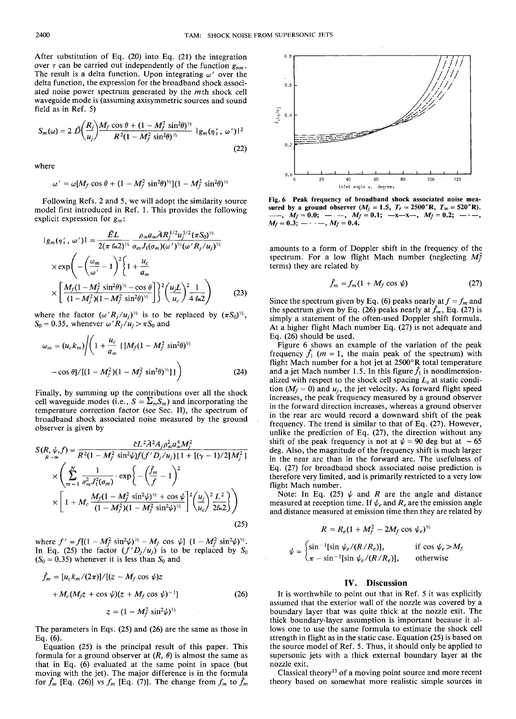After substitution of Eq. (20) into Eq. (21) the integration over  $\tau$  can be carried out independently of the function  $g_{nm}$ . The result is a delta function. Upon integrating  $\omega'$  over the delta function, the expression for the broadband shock associated noise power spectrum generated by the *mih* shock cell waveguide mode is (assuming axisymmetric sources and sound field as in Ref. 5)

$$
S_m(\omega) = 2 \ \tilde{D} \bigg( \frac{R_j}{u_j} \bigg) \frac{M_f \cos \theta + (1 - M_f^2 \sin^2 \theta)^{\frac{1}{2}}}{R^2 (1 - M_f^2 \sin^2 \theta)^{\frac{1}{2}}} \ |g_m(\eta'_s, \omega')|^2
$$
(22)

where

$$
\omega' = \omega[M_f \cos \theta + (1 - M_f^2 \sin^2 \theta)^{1/2}](1 - M_f^2 \sin^2 \theta)^{1/2}
$$

Following Refs. 2 and 5, we will adopt the similarity source model first introduced in Ref. 1. This provides the following explicit expression for *gm :*

$$
|g_m(\eta'_s, \omega')| = \frac{\tilde{E}L}{2(\pi \ln 2)^{1/2}} \frac{\rho_{\infty} a_{\infty} \tilde{A} R_j^{1/2} u_j^{3/2} (\pi S_0)^{1/2}}{\sigma_m J_1(\sigma_m)(\omega')^{1/2} (\omega' R_j / u_j)^{1/2}} \times \exp\left(-\left(\frac{\omega_m}{\omega'}-1\right)^2 \left\{1+\frac{u_c}{a_{\infty}}\right\} \times \left[\frac{M_f (1-M_f^2 \sin^2 \theta)^{1/2} - \cos \theta}{(1-M_f^2)(1-M_f^2 \sin^2 \theta)^{1/2}}\right]\right\}^2 \left(\frac{u_j L}{u_c}\right)^2 \frac{1}{4 \ln 2}\right) \tag{23}
$$

where the factor  $(\omega' R_j/u_j)^{\frac{1}{2}}$  is to be replaced by  $(\pi S_0)^{\frac{1}{2}}$ ,  $S_0 = 0.35$ , whenever  $\omega' R_j / u_j > \pi S_0$  and

$$
\omega_m = (u_c k_m) \left( \left( 1 + \frac{u_c}{a_\infty} \left\{ [M_f (1 - M_f^2 \sin^2 \theta)^{1/2} - \cos \theta \right\} / [(1 - M_f^2)(1 - M_f^2 \sin^2 \theta)^{1/2}] \right) \right)
$$
(24)

Finally, by summing up the contributions over all the shock cell waveguide modes (i.e.,  $S = \sum_{m} S_m$ ) and incorporating the temperature correction factor (see Sec. II), the spectrum of broadband shock associated noise measured by the ground observer is given by

$$
S(R, \psi, f) = \frac{\tilde{c}L^2 \tilde{A}^2 A_j \rho_{\infty}^2 a_{\infty}^4 M_j^2}{R^2 (1 - M_f^2 \sin^2 \psi) f(f' D_j / u_j) \{1 + [(\gamma - 1)/2] M_j^2\}}
$$

$$
\times \left( \sum_{m=1}^N \frac{1}{\sigma_m^2 J_1^2 (\sigma_m)} \cdot \exp \left\{ -\left(\frac{\hat{f}_m}{f} - 1\right)^2 \right\}
$$

$$
\times \left[ 1 + M_c \frac{M_f (1 - M_f^2 \sin^2 \psi)^{\nu_2} + \cos \psi}{(1 - M_f^2)(1 - M_f^2 \sin^2 \psi)^{\nu_2}} \right]^2 \left(\frac{u_j}{u_c}\right)^2 \frac{L^2}{2\ell n^2} \right) \tag{25}
$$

where  $f' = f[(1 - M_f^2 \sin^2 \psi)^\frac{1}{2} - M_f \cos \psi] (1 - M_f^2 \sin^2 \psi)^\frac{1}{2}$ In Eq. (25) the factor  $(f'D_j/u_j)$  is to be replaced by  $S_0$  $(S_0 = 0.35)$  whenever it is less than  $S_0$  and

$$
\hat{f}_m = [u_c k_m/(2\pi)]/[(z - M_f \cos \psi)z
$$
  
+ 
$$
M_c (M_f z + \cos \psi)(z + M_f \cos \psi)^{-1}]
$$
  

$$
z = (1 - M_f^2 \sin^2 \psi)^{\frac{1}{2}}
$$
 (26)

The parameters in Eqs. (25) and (26) are the same as those in Eq. (6).

Equation (25) is the principal result of this paper. This formula for a ground observer at  $(R, \theta)$  is almost the same as that in Eq. (6) evaluated at the same point in space (but moving with the jet). The major difference is in the formula for  $\hat{f}_m$  [Eq. (26)] vs  $f_m$  [Eq. (7)]. The change from  $f_m$  to  $\hat{f}_m$ 



**Fig. 6 Peak frequency of broadband shock associated noise mea**sured by a ground observer  $(M_j = 1.5, T_r = 2500 \text{°R}, T_\infty = 520 \text{°R}).$  $\mu_1, M_f = 0.0; - \mu, M_f = 0.1; -x-x, M_f = 0.2; - \mu,$  $M_f = 0.3;$  —  $\cdot$  —,  $M_f = 0.4$ .

amounts to a form of Doppler shift in the frequency of the spectrum. For a low flight Mach number (neglecting  $M_f^2$ terms) they are related by

$$
\hat{f}_m = f_m (1 + M_f \cos \psi) \tag{27}
$$

Since the spectrum given by Eq. (6) peaks nearly at  $f = f_m$  and the spectrum given by Eq. (26) peaks nearly at  $\hat{f}_m$ , Eq. (27) is simply a statement of the often-used Doppler shift formula. At a higher flight Mach number Eq. (27) is not adequate and Eq. (26) should be used.

Figure 6 shows an example of the variation of the peak frequency  $\hat{f}_1$  ( $m = 1$ , the main peak of the spectrum) with flight Mach number for a hot jet at 2500°R total temperature and a jet Mach number 1.5. In this figure  $\hat{f}_1$  is nondimensionalized with respect to the shock cell spacing *L<sup>s</sup>* at static condition  $(M_f = 0)$  and  $u_j$ , the jet velocity. As forward flight speed increases, the peak frequency measured by a ground observer in the forward direction increases, whereas a ground observer in the rear arc would record a downward shift of the peak frequency. The trend is similar to that of Eq. (27). However, unlike the prediction of Eq. (27), the direction without any shift of the peak frequency is not at  $\psi = 90$  deg but at  $\sim 65$ deg. Also, the magnitude of the frequency shift is much larger in the near arc than in the forward arc. The usefulness of Eq. (27) for broadband shock associated noise prediction is therefore very limited, and is primarily restricted to a very low flight Mach number.

Note: In Eq. (25)  $\psi$  and *R* are the angle and distance measured at reception time. If  $\psi_e$  and  $R_e$  are the emission angle and distance measured at emission time then they are related by

$$
R = R_e (1 + M_f^2 - 2M_f \cos \psi_e)^{1/2}
$$

$$
= \begin{cases} \sin^{-1} [\sin \psi_e / (R/R_e)], & \text{if } \cos \psi_e > M_f \\ \pi - \sin^{-1} [\sin \psi_e / (R/R_e)], & \text{otherwise} \end{cases}
$$

## **IV. Discussion**

It is worthwhile to point out that in Ref. 5 it was explicitly assumed that the exterior wall of the nozzle was covered by a boundary layer that was quite thick at the nozzle exit. The thick boundary-layer assumption is important because it allows one to use the same formula to estimate the shock cell strength in flight as in the static case. Equation (25) is based on the source model of Ref. 5. Thus, it should only be applied to supersonic jets with a thick external boundary layer at the nozzle exit.

Classical theory<sup>13</sup> of a moving point source and more recent theory based on somewhat more realistic simple sources in